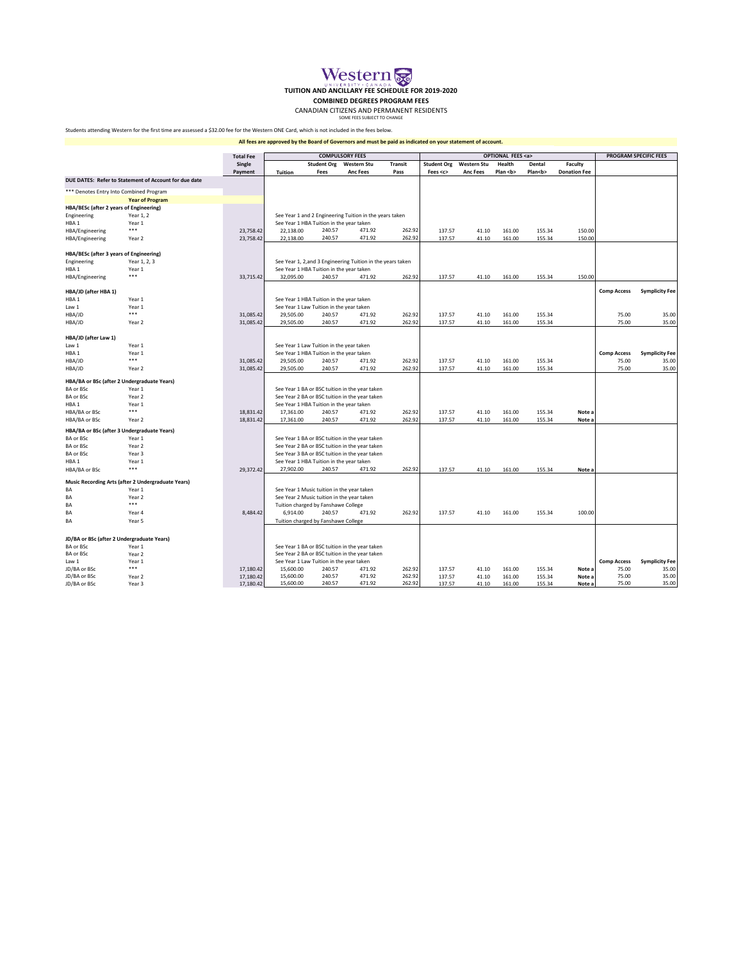

**COMBINED DEGREES PROGRAM FEES**

CANADIAN CITIZENS AND PERMANENT RESIDENTS<br>SOME FEES SUBJECT TO CHANGE

Students attending Western for the first time are assessed a \$32.00 fee for the Western ONE Card, which is not included in the fees below.

**All fees are approved by the Board of Governors and must be paid as indicated on your statement of account.**

|                                             |                                                       | <b>Total Fee</b> | <b>COMPULSORY FEES</b>                     |                    |                                                             |                | <b>OPTIONAL FEES <a></a></b> |                 |              |              |                     | <b>PROGRAM SPECIFIC FEES</b> |                       |
|---------------------------------------------|-------------------------------------------------------|------------------|--------------------------------------------|--------------------|-------------------------------------------------------------|----------------|------------------------------|-----------------|--------------|--------------|---------------------|------------------------------|-----------------------|
|                                             |                                                       | Single           |                                            | <b>Student Org</b> | <b>Western Stu</b>                                          | <b>Transit</b> | <b>Student Org</b>           | Western Stu     | Health       | Dental       | Faculty             |                              |                       |
|                                             |                                                       | Payment          | <b>Tuition</b>                             | Fees               | <b>Anc Fees</b>                                             | Pass           | Fees <c></c>                 | <b>Anc Fees</b> | Plan <b></b> | Plan <b></b> | <b>Donation Fee</b> |                              |                       |
|                                             | DUE DATES: Refer to Statement of Account for due date |                  |                                            |                    |                                                             |                |                              |                 |              |              |                     |                              |                       |
| *** Denotes Entry Into Combined Program     |                                                       |                  |                                            |                    |                                                             |                |                              |                 |              |              |                     |                              |                       |
|                                             | <b>Year of Program</b>                                |                  |                                            |                    |                                                             |                |                              |                 |              |              |                     |                              |                       |
| HBA/BESc (after 2 years of Engineering)     |                                                       |                  |                                            |                    |                                                             |                |                              |                 |              |              |                     |                              |                       |
| Engineering                                 | Year 1, 2                                             |                  |                                            |                    | See Year 1 and 2 Engineering Tuition in the years taken     |                |                              |                 |              |              |                     |                              |                       |
| HBA <sub>1</sub>                            | Year 1                                                |                  | See Year 1 HBA Tuition in the year taken   |                    |                                                             |                |                              |                 |              |              |                     |                              |                       |
| HBA/Engineering                             | $***$                                                 | 23.758.42        | 22,138.00                                  | 240.57             | 471.92                                                      | 262.92         | 137.57                       | 41.10           | 161.00       | 155.34       | 150.00              |                              |                       |
| HBA/Engineering                             | Year 2                                                | 23,758.42        | 22,138.00                                  | 240.57             | 471.92                                                      | 262.92         | 137.57                       | 41.10           | 161.00       | 155.34       | 150.00              |                              |                       |
| HBA/BESc (after 3 years of Engineering)     |                                                       |                  |                                            |                    |                                                             |                |                              |                 |              |              |                     |                              |                       |
| Engineering                                 | Year 1, 2, 3                                          |                  |                                            |                    | See Year 1, 2, and 3 Engineering Tuition in the years taken |                |                              |                 |              |              |                     |                              |                       |
| HBA1                                        | Year 1                                                |                  | See Year 1 HBA Tuition in the year taken   |                    |                                                             |                |                              |                 |              |              |                     |                              |                       |
| HBA/Engineering                             | $***$                                                 | 33,715.42        | 32,095.00                                  | 240.57             | 471.92                                                      | 262.92         | 137.57                       | 41.10           | 161.00       | 155.34       | 150.00              |                              |                       |
| HBA/JD (after HBA 1)                        |                                                       |                  |                                            |                    |                                                             |                |                              |                 |              |              |                     | <b>Comp Access</b>           | <b>Symplicity Fee</b> |
| HBA <sub>1</sub>                            | Year 1                                                |                  | See Year 1 HBA Tuition in the year taken   |                    |                                                             |                |                              |                 |              |              |                     |                              |                       |
| Law 1                                       | Year 1                                                |                  | See Year 1 Law Tuition in the year taken   |                    |                                                             |                |                              |                 |              |              |                     |                              |                       |
| HBA/JD                                      | ***                                                   | 31,085.42        | 29,505.00                                  | 240.57             | 471.92                                                      | 262.92         | 137.57                       | 41.10           | 161.00       | 155.34       |                     | 75.00                        | 35.00                 |
| HBA/JD                                      | Year 2                                                | 31,085.42        | 29,505.00                                  | 240.57             | 471.92                                                      | 262.92         | 137.57                       | 41.10           | 161.00       | 155.34       |                     | 75.00                        | 35.00                 |
|                                             |                                                       |                  |                                            |                    |                                                             |                |                              |                 |              |              |                     |                              |                       |
| HBA/JD (after Law 1)                        |                                                       |                  |                                            |                    |                                                             |                |                              |                 |              |              |                     |                              |                       |
| Law 1                                       | Year 1                                                |                  | See Year 1 Law Tuition in the year taken   |                    |                                                             |                |                              |                 |              |              |                     |                              |                       |
| HBA <sub>1</sub>                            | Year 1                                                |                  | See Year 1 HBA Tuition in the year taken   |                    |                                                             |                |                              |                 |              |              |                     | <b>Comp Access</b>           | <b>Symplicity Fee</b> |
| HBA/JD                                      | $***$                                                 | 31,085.42        | 29,505.00                                  | 240.57             | 471.92                                                      | 262.92         | 137.57                       | 41.10           | 161.00       | 155.34       |                     | 75.00                        | 35.00                 |
| HBA/JD                                      | Year 2                                                | 31,085.42        | 29,505.00                                  | 240.57             | 471.92                                                      | 262.92         | 137.57                       | 41.10           | 161.00       | 155.34       |                     | 75.00                        | 35.00                 |
|                                             | HBA/BA or BSc (after 2 Undergraduate Years)           |                  |                                            |                    |                                                             |                |                              |                 |              |              |                     |                              |                       |
| <b>BA or BSc</b>                            | Year 1                                                |                  |                                            |                    | See Year 1 BA or BSC tuition in the year taken              |                |                              |                 |              |              |                     |                              |                       |
| BA or BSc                                   | Year 2                                                |                  |                                            |                    | See Year 2 BA or BSC tuition in the year taken              |                |                              |                 |              |              |                     |                              |                       |
| HBA <sub>1</sub>                            | Year 1                                                |                  | See Year 1 HBA Tuition in the year taken   |                    |                                                             |                |                              |                 |              |              |                     |                              |                       |
| HBA/BA or BSc                               | $***$                                                 | 18,831.42        | 17,361.00                                  | 240.57             | 471.92                                                      | 262.92         | 137.57                       | 41.10           | 161.00       | 155.34       | Note a              |                              |                       |
| HBA/BA or BSc                               | Year 2                                                | 18,831.42        | 17,361.00                                  | 240.57             | 471.92                                                      | 262.92         | 137.57                       | 41.10           | 161.00       | 155.34       | Note a              |                              |                       |
| HBA/BA or BSc (after 3 Undergraduate Years) |                                                       |                  |                                            |                    |                                                             |                |                              |                 |              |              |                     |                              |                       |
| <b>BA or BSc</b>                            | Year 1                                                |                  |                                            |                    | See Year 1 BA or BSC tuition in the year taken              |                |                              |                 |              |              |                     |                              |                       |
| <b>BA or BSc</b>                            | Year 2                                                |                  |                                            |                    | See Year 2 BA or BSC tuition in the year taken              |                |                              |                 |              |              |                     |                              |                       |
| BA or BSc                                   | Year 3                                                |                  |                                            |                    | See Year 3 BA or BSC tuition in the year taken              |                |                              |                 |              |              |                     |                              |                       |
| HBA <sub>1</sub>                            | Year 1                                                |                  | See Year 1 HBA Tuition in the year taken   |                    |                                                             |                |                              |                 |              |              |                     |                              |                       |
| HBA/BA or BSc                               | $***$                                                 | 29.372.42        | 27.902.00                                  | 240.57             | 471.92                                                      | 262.92         | 137.57                       | 41.10           | 161.00       | 155.34       | Note a              |                              |                       |
|                                             | Music Recording Arts (after 2 Undergraduate Years)    |                  |                                            |                    |                                                             |                |                              |                 |              |              |                     |                              |                       |
| BA                                          | Year 1                                                |                  | See Year 1 Music tuition in the year taken |                    |                                                             |                |                              |                 |              |              |                     |                              |                       |
| BA                                          | Year 2                                                |                  | See Year 2 Music tuition in the year taken |                    |                                                             |                |                              |                 |              |              |                     |                              |                       |
| BA                                          | $***$                                                 |                  | Tuition charged by Fanshawe College        |                    |                                                             |                |                              |                 |              |              |                     |                              |                       |
| BA                                          | Year 4                                                | 8.484.42         | 6.914.00                                   | 240.57             | 471.92                                                      | 262.92         | 137.57                       | 41.10           | 161.00       | 155.34       | 100.00              |                              |                       |
| BA                                          | Year 5                                                |                  | Tuition charged by Fanshawe College        |                    |                                                             |                |                              |                 |              |              |                     |                              |                       |
|                                             |                                                       |                  |                                            |                    |                                                             |                |                              |                 |              |              |                     |                              |                       |
|                                             | JD/BA or BSc (after 2 Undergraduate Years)            |                  |                                            |                    |                                                             |                |                              |                 |              |              |                     |                              |                       |
| <b>BA or BSc</b>                            | Year 1                                                |                  |                                            |                    | See Year 1 BA or BSC tuition in the year taken              |                |                              |                 |              |              |                     |                              |                       |
| <b>BA or BSc</b>                            | Year 2                                                |                  |                                            |                    | See Year 2 BA or BSC tuition in the year taken              |                |                              |                 |              |              |                     |                              |                       |
| Law 1                                       | Year 1                                                |                  | See Year 1 Law Tuition in the year taken   |                    |                                                             |                |                              |                 |              |              |                     | <b>Comp Access</b>           | <b>Symplicity Fee</b> |
| JD/BA or BSc                                | ***                                                   | 17,180.42        | 15,600.00                                  | 240.57             | 471.92                                                      | 262.92         | 137.57                       | 41.10           | 161.00       | 155.34       | Note a              | 75.00                        | 35.00                 |
| JD/BA or BSc                                | Year 2                                                | 17,180.42        | 15,600.00                                  | 240.57             | 471.92                                                      | 262.92         | 137.57                       | 41.10           | 161.00       | 155.34       | Note a              | 75.00                        | 35.00                 |
| JD/BA or BSc                                | Year 3                                                | 17,180.42        | 15,600.00                                  | 240.57             | 471.92                                                      | 262.92         | 137.57                       | 41.10           | 161.00       | 155.34       | Note a              | 75.00                        | 35.00                 |